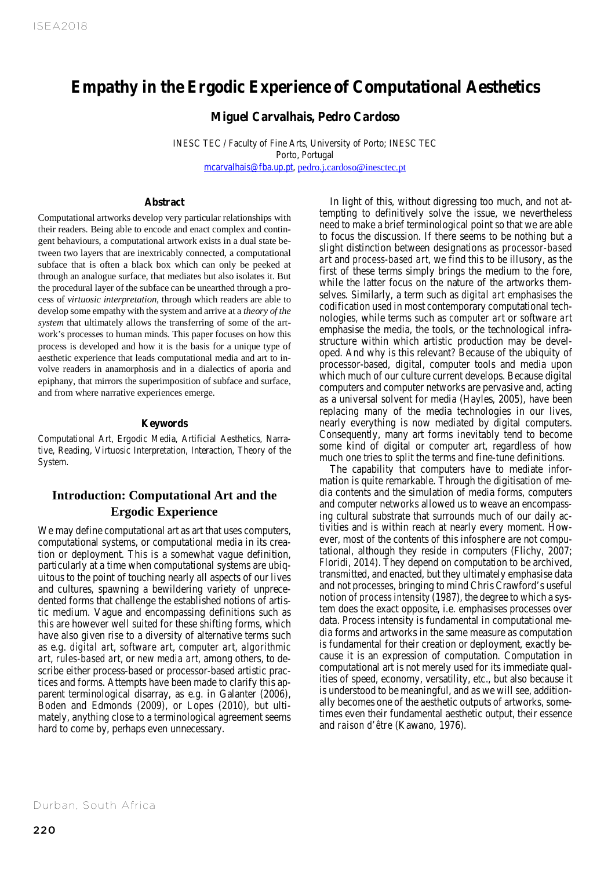# **Empathy in the Ergodic Experience of Computational Aesthetics**

**Miguel Carvalhais, Pedro Cardoso**

INESC TEC / Faculty of Fine Arts, University of Porto; INESC TEC Porto, Portugal mcarvalhais@fba.up.pt, pedro.j.cardoso@inesctec.pt

#### **Abstract**

the procedural layer of the subface can be unearthed through a pro-<br>the setting is a term with setting of the subface can be unearthed through a pro-<br>the setting of the subface can be unearthed through a process of *virtuosic interpretation*, through which readers are able to Computational artworks develop very particular relationships with their readers. Being able to encode and enact complex and contingent behaviours, a computational artwork exists in a dual state between two layers that are inextricably connected, a computational subface that is often a black box which can only be peeked at through an analogue surface, that mediates but also isolates it. But develop some empathy with the system and arrive at a *theory of the system* that ultimately allows the transferring of some of the artwork's processes to human minds. This paper focuses on how this process is developed and how it is the basis for a unique type of aesthetic experience that leads computational media and art to involve readers in anamorphosis and in a dialectics of aporia and epiphany, that mirrors the superimposition of subface and surface, and from where narrative experiences emerge.

#### **Keywords**

Computational Art, Ergodic Media, Artificial Aesthetics, Narrative, Reading, Virtuosic Interpretation, Interaction, Theory of the System.

# **Introduction: Computational Art and the Ergodic Experience**

We may define computational art as art that uses computers, computational systems, or computational media in its creation or deployment. This is a somewhat vague definition, particularly at a time when computational systems are ubiquitous to the point of touching nearly all aspects of our lives and cultures, spawning a bewildering variety of unprecedented forms that challenge the established notions of artistic medium. Vague and encompassing definitions such as this are however well suited for these shifting forms, which have also given rise to a diversity of alternative terms such as e.g. *digital art*, *software art*, *computer art*, *algorithmic art*, *rules-based art*, or *new media art*, among others, to describe either process-based or processor-based artistic practices and forms. Attempts have been made to clarify this apparent terminological disarray, as e.g. in Galanter (2006), Boden and Edmonds (2009), or Lopes (2010), but ultimately, anything close to a terminological agreement seems hard to come by, perhaps even unnecessary.

In light of this, without digressing too much, and not attempting to definitively solve the issue, we nevertheless need to make a brief terminological point so that we are able to focus the discussion. If there seems to be nothing but a slight distinction between designations as *processor-based art* and *process-based art*, we find this to be illusory, as the first of these terms simply brings the medium to the fore, while the latter focus on the nature of the artworks themselves. Similarly, a term such as *digital art* emphasises the codification used in most contemporary computational technologies, while terms such as *computer art* or *software art* emphasise the media, the tools, or the technological infrastructure within which artistic production may be developed. And why is this relevant? Because of the ubiquity of processor-based, digital, computer tools and media upon which much of our culture current develops. Because digital computers and computer networks are pervasive and, acting as a universal solvent for media (Hayles, 2005), have been replacing many of the media technologies in our lives, nearly everything is now mediated by digital computers. Consequently, many art forms inevitably tend to become some kind of digital or computer art, regardless of how much one tries to split the terms and fine-tune definitions.

The capability that computers have to mediate information is quite remarkable. Through the digitisation of media contents and the simulation of media forms, computers and computer networks allowed us to weave an encompassing cultural substrate that surrounds much of our daily activities and is within reach at nearly every moment. However, most of the contents of this *infosphere* are not computational, although they reside in computers (Flichy, 2007; Floridi, 2014). They depend on computation to be archived, transmitted, and enacted, but they ultimately emphasise data and not processes, bringing to mind Chris Crawford's useful notion of *process intensity* (1987), the degree to which a system does the exact opposite, i.e. emphasises processes over data. Process intensity is fundamental in computational media forms and artworks in the same measure as computation is fundamental for their creation or deployment, exactly because it is an expression of computation. Computation in computational art is not merely used for its immediate qualities of speed, economy, versatility, etc., but also because it is understood to be meaningful, and as we will see, additionally becomes one of the aesthetic outputs of artworks, sometimes even their fundamental aesthetic output, their essence and *raison d'être* (Kawano, 1976).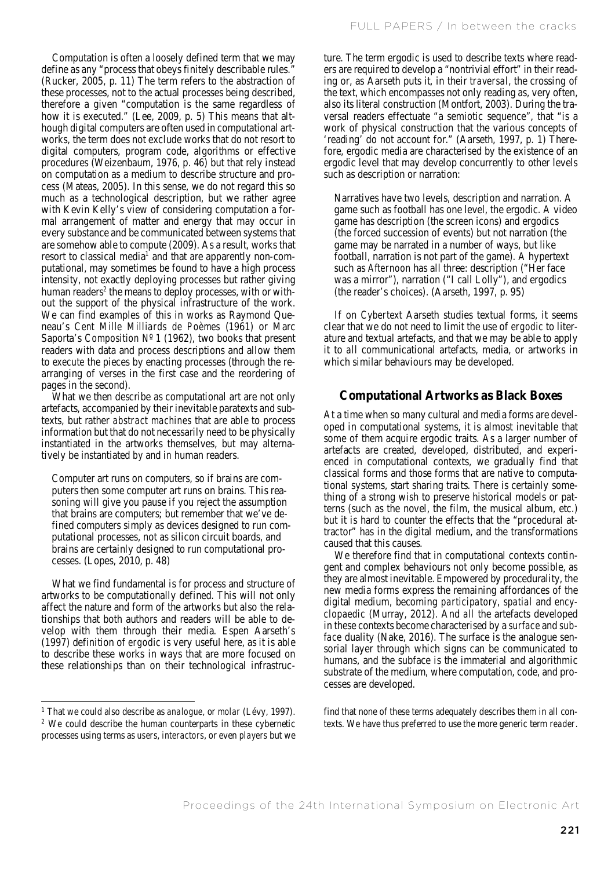Computation is often a loosely defined term that we may define as any "process that obeys finitely describable rules." (Rucker, 2005, p. 11) The term refers to the abstraction of these processes, not to the actual processes being described, therefore a given "computation is the same regardless of how it is executed." (Lee, 2009, p. 5) This means that although digital computers are often used in computational artworks, the term does not exclude works that do not resort to digital computers, program code, algorithms or effective procedures (Weizenbaum, 1976, p. 46) but that rely instead on computation as a medium to describe structure and process (Mateas, 2005). In this sense, we do not regard this so much as a technological description, but we rather agree with Kevin Kelly's view of considering computation a formal arrangement of matter and energy that may occur in every substance and be communicated between systems that are somehow able to compute (2009). As a result, works that resort to classical media<sup>1</sup> and that are apparently non-computational, may sometimes be found to have a high process intensity, not exactly deploying processes but rather giving human readers<sup>2</sup> the means to deploy processes, with or without the support of the physical infrastructure of the work. We can find examples of this in works as Raymond Queneau's *Cent Mille Milliards de Poèmes* (1961) or Marc Saporta's *Composition Nº 1* (1962), two books that present readers with data and process descriptions and allow them to *execute* the pieces by enacting processes (through the rearranging of verses in the first case and the reordering of pages in the second).

What we then describe as computational art are not only artefacts, accompanied by their inevitable paratexts and subtexts, but rather *abstract machines* that are able to process information but that do not necessarily need to be physically instantiated in the artworks themselves, but may alternatively be instantiated *by* and *in* human readers.

Computer art runs on computers, so if brains are computers then some computer art runs on brains. This reasoning will give you pause if you reject the assumption that brains are computers; but remember that we've defined computers simply as devices designed to run computational processes, not as silicon circuit boards, and brains are certainly designed to run computational processes. (Lopes, 2010, p. 48)

What we find fundamental is for process and structure of artworks to be computationally defined. This will not only affect the nature and form of the artworks but also the relationships that both authors and readers will be able to develop with them through their media. Espen Aarseth's (1997) definition of *ergodic* is very useful here, as it is able to describe these works in ways that are more focused on these relationships than on their technological infrastruc-

-

ture. The term ergodic is used to describe texts where readers are required to develop a "nontrivial effort" in their reading or, as Aarseth puts it, in their *traversal*, the crossing of the text, which encompasses not only reading as, very often, also its literal construction (Montfort, 2003). During the traversal readers effectuate "a semiotic sequence", that "is a work of physical construction that the various concepts of 'reading' do not account for." (Aarseth, 1997, p. 1) Therefore, ergodic media are characterised by the existence of an ergodic level that may develop concurrently to other levels such as description or narration:

Narratives have two levels, description and narration. A game such as football has one level, the ergodic. A video game has description (the screen icons) and ergodics (the forced succession of events) but not narration (the game may be narrated in a number of ways, but like football, narration is not part of the game). A hypertext such as *Afternoon* has all three: description ("Her face was a mirror"), narration ("I call Lolly"), and ergodics (the reader's choices). (Aarseth, 1997, p. 95)

If on *Cybertext* Aarseth studies textual forms, it seems clear that we do not need to limit the use of *ergodic* to literature and textual artefacts, and that we may be able to apply it to *all* communicational artefacts, media, or artworks in which similar behaviours may be developed.

# **Computational Artworks as Black Boxes**

At a time when so many cultural and media forms are developed in computational systems, it is almost inevitable that some of them acquire ergodic traits. As a larger number of artefacts are created, developed, distributed, and experienced in computational contexts, we gradually find that classical forms and those forms that are native to computational systems, start sharing traits. There is certainly something of a strong wish to preserve historical models or patterns (such as the novel, the film, the musical album, etc.) but it is hard to counter the effects that the "procedural attractor" has in the digital medium, and the transformations caused that this causes.

We therefore find that in computational contexts contingent and complex behaviours not only become possible, as they are almost inevitable. Empowered by procedurality, the new media forms express the remaining affordances of the digital medium, becoming *participatory*, *spatial* and *encyclopaedic* (Murray, 2012). And *all* the artefacts developed in these contexts become characterised by a *surface* and *subface* duality (Nake, 2016). The surface is the analogue sensorial layer through which signs can be communicated to humans, and the subface is the immaterial and algorithmic substrate of the medium, where computation, code, and processes are developed.

find that none of these terms adequately describes them in all contexts. We have thus preferred to use the more generic term *reader*.

<sup>&</sup>lt;sup>1</sup> That we could also describe as *analogue*, or *molar* (Lévy, 1997).<sup>2</sup> We could describe the human counterparts in these cybernetic

processes using terms as *users*, *interactors*, or even *players* but we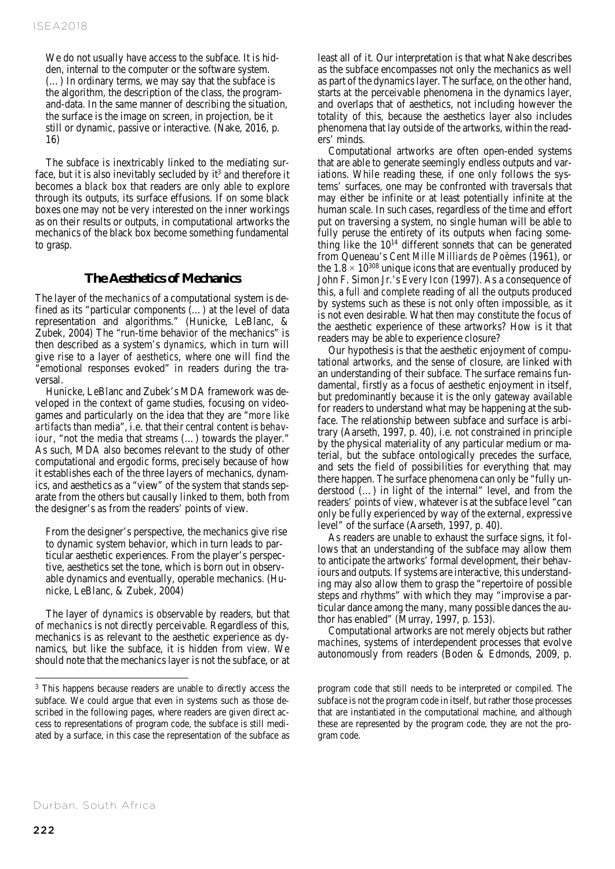We do not usually have access to the subface. It is hidden, internal to the computer or the software system. (…) In ordinary terms, we may say that the subface is the algorithm, the description of the class, the programand-data. In the same manner of describing the situation, the surface is the image on screen, in projection, be it still or dynamic, passive or interactive. (Nake, 2016, p. 16)

The subface is inextricably linked to the mediating surface, but it is also inevitably secluded by  $it<sup>3</sup>$  and therefore it becomes a *black box* that readers are only able to explore through its outputs, its surface effusions. If on some black boxes one may not be very interested on the inner workings as on their results or outputs, in computational artworks the mechanics of the black box become something fundamental to grasp.

## **The Aesthetics of Mechanics**

The layer of the *mechanics* of a computational system is defined as its "particular components (…) at the level of data representation and algorithms." (Hunicke, LeBlanc, & Zubek, 2004) The "run-time behavior of the mechanics" is then described as a system's *dynamics*, which in turn will give rise to a layer of *aesthetics*, where one will find the "emotional responses evoked" in readers during the traversal.

Hunicke, LeBlanc and Zubek's MDA framework was developed in the context of game studies, focusing on videogames and particularly on the idea that they are "*more like artifacts* than media", i.e. that their central content is *behaviour*, "not the media that streams (...) towards the player." As such, MDA also becomes relevant to the study of other computational and ergodic forms, precisely because of how it establishes each of the three layers of mechanics, dynamics, and aesthetics as a "view" of the system that stands separate from the others but causally linked to them, both from the designer's as from the readers' points of view.

From the designer's perspective, the mechanics give rise to dynamic system behavior, which in turn leads to particular aesthetic experiences. From the player's perspective, aesthetics set the tone, which is born out in observable dynamics and eventually, operable mechanics. (Hunicke, LeBlanc, & Zubek, 2004)

The layer of *dynamics* is observable by readers, but that of *mechanics* is not directly perceivable. Regardless of this, mechanics is as relevant to the aesthetic experience as dynamics, but like the subface, it is hidden from view. We should note that the mechanics layer is not the subface, or at least all of it. Our interpretation is that what Nake describes as the subface encompasses not only the mechanics as well as part of the dynamics layer. The surface, on the other hand, starts at the perceivable phenomena in the dynamics layer, and overlaps that of aesthetics, not including however the totality of this, because the aesthetics layer also includes phenomena that lay outside of the artworks, within the readers' minds.

Computational artworks are often open-ended systems that are able to generate seemingly endless outputs and variations. While reading these, if one only follows the systems' surfaces, one may be confronted with traversals that may either be infinite or at least potentially infinite at the human scale. In such cases, regardless of the time and effort put on traversing a system, no single human will be able to fully peruse the entirety of its outputs when facing something like the  $10^{14}$  different sonnets that can be generated from Queneau's *Cent Mille Milliards de Poèmes* (1961), or the  $1.8 \times 10^{308}$  unique icons that are eventually produced by John F. Simon Jr.'s *Every Icon* (1997). As a consequence of this, a *full* and *complete* reading of all the outputs produced by systems such as these is not only often impossible, as it is not even desirable. What then may constitute the focus of the aesthetic experience of these artworks? How is it that readers may be able to experience closure?

Our hypothesis is that the aesthetic enjoyment of computational artworks, and the sense of closure, are linked with an understanding of their subface. The surface remains fundamental, firstly as a focus of aesthetic enjoyment in itself, but predominantly because it is the only gateway available for readers to understand what may be happening at the subface. The relationship between subface and surface is arbitrary (Aarseth, 1997, p. 40), i.e. not constrained in principle by the physical materiality of any particular medium or material, but the subface ontologically precedes the surface, and sets the field of possibilities for everything that may there happen. The surface phenomena can only be "fully understood (…) in light of the internal" level, and from the readers' points of view, whatever is at the subface level "can only be fully experienced by way of the external, expressive level" of the surface (Aarseth, 1997, p. 40).

As readers are unable to exhaust the surface signs, it follows that an understanding of the subface may allow them to anticipate the artworks' formal development, their behaviours and outputs. If systems are interactive, this understanding may also allow them to grasp the "repertoire of possible steps and rhythms" with which they may "improvise a particular dance among the many, many possible dances the author has enabled" (Murray, 1997, p. 153).

Computational artworks are not merely objects but rather *machines*, systems of interdependent processes that evolve autonomously from readers (Boden & Edmonds, 2009, p.

 $\ddot{ }$ 

<sup>&</sup>lt;sup>3</sup> This happens because readers are unable to directly access the subface. We could argue that even in systems such as those described in the following pages, where readers are given direct access to representations of program code, the subface is still mediated by a surface, in this case the representation of the subface as

program code that still needs to be interpreted or compiled. The subface is not the program code in itself, but rather those processes that are instantiated in the computational machine, and although these are represented by the program code, they are not *the* program code.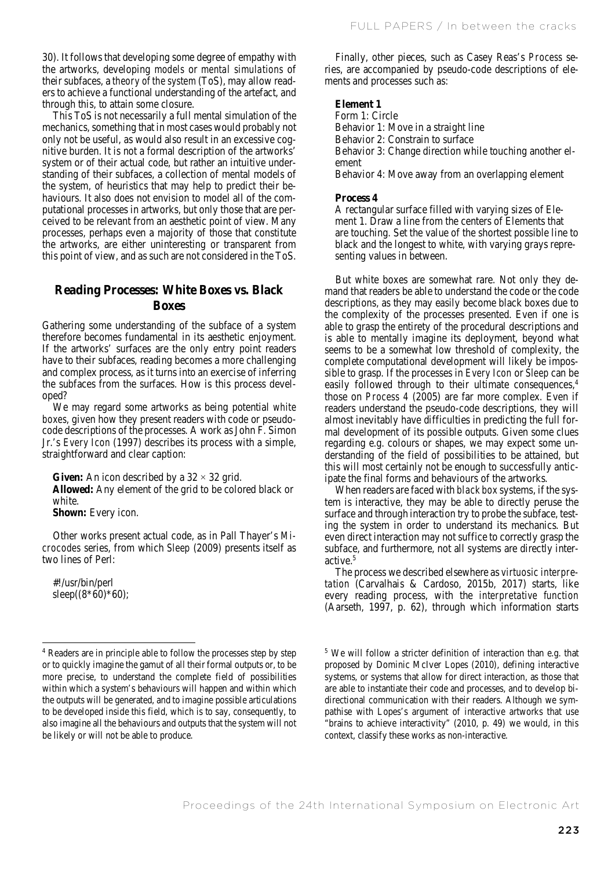30). It follows that developing some degree of empathy with the artworks, developing *models* or *mental simulations* of their subfaces, a *theory of the system* (ToS), may allow readers to achieve a functional understanding of the artefact, and through this, to attain some closure.

This ToS is not necessarily a full mental simulation of the mechanics, something that in most cases would probably not only not be useful, as would also result in an excessive cognitive burden. It is not a formal description of the artworks' system or of their actual code, but rather an intuitive understanding of their subfaces, a collection of mental models of the system, of heuristics that may help to predict their behaviours. It also does not envision to model all of the computational processes in artworks, but only those that are perceived to be relevant from an aesthetic point of view. Many processes, perhaps even a majority of those that constitute the artworks, are either uninteresting or transparent from this point of view, and as such are not considered in the ToS.

# **Reading Processes: White Boxes vs. Black Boxes**

Gathering some understanding of the subface of a system therefore becomes fundamental in its aesthetic enjoyment. If the artworks' surfaces are the only entry point readers have to their subfaces, reading becomes a more challenging and complex process, as it turns into an exercise of inferring the subfaces from the surfaces. How is this process developed?

We may regard some artworks as being potential *white boxes*, given how they present readers with code or pseudocode descriptions of the processes. A work as John F. Simon Jr.'s *Every Icon* (1997) describes its process with a simple, straightforward and clear caption:

**Given:** An icon described by a  $32 \times 32$  grid. **Allowed:** Any element of the grid to be colored black or white.

**Shown:** Every icon.

Other works present actual code, as in Pall Thayer's *Microcodes* series, from which *Sleep* (2009) presents itself as two lines of Perl:

#!/usr/bin/perl sleep( $(8*60)*60$ );

-

Finally, other pieces, such as Casey Reas's *Process* series, are accompanied by pseudo-code descriptions of elements and processes such as:

#### **Element 1**

Form 1: Circle Behavior 1: Move in a straight line Behavior 2: Constrain to surface Behavior 3: Change direction while touching another element Behavior 4: Move away from an overlapping element

#### **Process 4**

A rectangular surface filled with varying sizes of Element 1. Draw a line from the centers of Elements that are touching. Set the value of the shortest possible line to black and the longest to white, with varying grays representing values in between.

But white boxes are somewhat rare. Not only they demand that readers be able to understand the code or the code descriptions, as they may easily become black boxes due to the complexity of the processes presented. Even if one is able to grasp the entirety of the procedural descriptions and is able to mentally imagine its deployment, beyond what seems to be a somewhat low threshold of complexity, the complete computational development will likely be impossible to grasp. If the processes in *Every Icon* or *Sleep* can be easily followed through to their ultimate consequences.<sup>4</sup> those on *Process 4* (2005) are far more complex. Even if readers understand the pseudo-code descriptions, they will almost inevitably have difficulties in predicting the full formal development of its possible outputs. Given some clues regarding e.g. colours or shapes, we may expect some understanding of the field of possibilities to be attained, but this will most certainly not be enough to successfully anticipate the final forms and behaviours of the artworks.

When readers are faced with *black box* systems, if the system is interactive, they may be able to directly peruse the surface and through interaction try to probe the subface, testing the system in order to understand its mechanics. But even direct interaction may not suffice to correctly grasp the subface, and furthermore, not all systems are directly interactive.5

The process we described elsewhere as *virtuosic interpretation* (Carvalhais & Cardoso, 2015b, 2017) starts, like every reading process, with the *interpretative function* (Aarseth, 1997, p. 62), through which information starts

<sup>4</sup> Readers are in principle able to follow the processes step by step or to quickly imagine the gamut of all their formal outputs or, to be more precise, to understand the complete field of possibilities within which a system's behaviours will happen and within which the outputs will be generated, and to imagine possible articulations to be developed inside this field, which is to say, consequently, to also imagine all the behaviours and outputs that the system will not be likely or will not be able to produce.

<sup>5</sup> We will follow a stricter definition of interaction than e.g. that proposed by Dominic McIver Lopes (2010), defining interactive systems, or systems that allow for direct interaction, as those that are able to instantiate their code and processes, and to develop bidirectional communication with their readers. Although we sympathise with Lopes's argument of interactive artworks that use "brains to achieve interactivity" (2010, p. 49) we would, in this context, classify these works as non-interactive.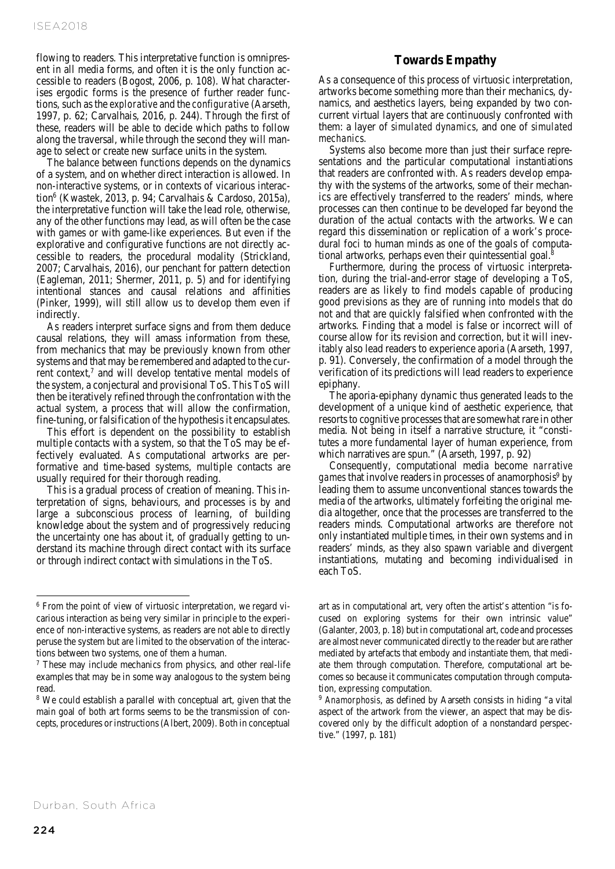flowing to readers. This interpretative function is omnipresent in all media forms, and often it is the only function accessible to readers (Bogost, 2006, p. 108). What characterises ergodic forms is the presence of further reader functions, such as the *explorative* and the *configurative* (Aarseth, 1997, p. 62; Carvalhais, 2016, p. 244). Through the first of these, readers will be able to decide which paths to follow along the traversal, while through the second they will manage to select or create new surface units in the system.

The balance between functions depends on the dynamics of a system, and on whether direct interaction is allowed. In non-interactive systems, or in contexts of vicarious interaction6 (Kwastek, 2013, p. 94; Carvalhais & Cardoso, 2015a), the interpretative function will take the lead role, otherwise, any of the other functions may lead, as will often be the case with games or with game-like experiences. But even if the explorative and configurative functions are not directly accessible to readers, the procedural modality (Strickland, 2007; Carvalhais, 2016), our penchant for pattern detection (Eagleman, 2011; Shermer, 2011, p. 5) and for identifying intentional stances and causal relations and affinities (Pinker, 1999), will still allow us to develop them even if indirectly.

As readers interpret surface signs and from them deduce causal relations, they will amass information from these, from mechanics that may be previously known from other systems and that may be remembered and adapted to the current context,<sup>7</sup> and will develop tentative mental models of the system, a conjectural and provisional ToS. This ToS will then be iteratively refined through the confrontation with the actual system, a process that will allow the confirmation, fine-tuning, or falsification of the hypothesis it encapsulates.

This effort is dependent on the possibility to establish multiple contacts with a system, so that the ToS may be effectively evaluated. As computational artworks are performative and time-based systems, multiple contacts are usually required for their thorough reading.

This is a gradual process of creation of meaning. This interpretation of signs, behaviours, and processes is by and large a subconscious process of learning, of building knowledge about the system and of progressively reducing the uncertainty one has about it, of gradually getting to understand its machine through direct contact with its surface or through indirect contact with simulations in the ToS.

## **Towards Empathy**

As a consequence of this process of virtuosic interpretation, artworks become something more than their mechanics, dynamics, and aesthetics layers, being expanded by two concurrent virtual layers that are continuously confronted with them: a layer of *simulated dynamics*, and one of *simulated mechanics*.

Systems also become more than just their surface representations and the particular computational instantiations that readers are confronted with. As readers develop empathy with the systems of the artworks, some of their mechanics are effectively transferred to the readers' minds, where processes can then continue to be developed far beyond the duration of the actual contacts with the artworks. We can regard this dissemination or replication of a work's procedural foci to human minds as one of the goals of computational artworks, perhaps even their quintessential goal.8

Furthermore, during the process of virtuosic interpretation, during the trial-and-error stage of developing a ToS, readers are as likely to find models capable of producing good previsions as they are of running into models that do not and that are quickly falsified when confronted with the artworks. Finding that a model is false or incorrect will of course allow for its revision and correction, but it will inevitably also lead readers to experience aporia (Aarseth, 1997, p. 91). Conversely, the confirmation of a model through the verification of its predictions will lead readers to experience epiphany.

The aporia-epiphany dynamic thus generated leads to the development of a unique kind of aesthetic experience, that resorts to cognitive processes that are somewhat rare in other media. Not being in itself a narrative structure, it "constitutes a more fundamental layer of human experience, from which narratives are spun." (Aarseth, 1997, p. 92)

Consequently, computational media become *narrative games* that involve readers in processes of anamorphosis<sup>9</sup> by leading them to assume unconventional stances towards the media of the artworks, ultimately forfeiting the original media altogether, once that the processes are transferred to the readers minds. Computational artworks are therefore not only instantiated multiple times, in their own systems and in readers' minds, as they also spawn variable and divergent instantiations, mutating and becoming individualised in each ToS.

-

<sup>6</sup> From the point of view of virtuosic interpretation, we regard vicarious interaction as being very similar in principle to the experience of non-interactive systems, as readers are not able to directly peruse the system but are limited to the observation of the interactions between two systems, one of them a human.

<sup>7</sup> These may include mechanics from physics, and other real-life examples that may be in some way analogous to the system being read.

<sup>&</sup>lt;sup>8</sup> We could establish a parallel with conceptual art, given that the main goal of both art forms seems to be the transmission of concepts, procedures or instructions (Albert, 2009). Both in conceptual

art as in computational art, very often the artist's attention "is focused on exploring systems for their own intrinsic value" (Galanter, 2003, p. 18) but in computational art, code and processes are almost never communicated directly to the reader but are rather mediated by artefacts that embody and instantiate them, that mediate them through computation. Therefore, computational art becomes so because it communicates computation through computation, *expressing* computation. 9 *Anamorphosis*, as defined by Aarseth consists in hiding "a vital

aspect of the artwork from the viewer, an aspect that may be discovered only by the difficult adoption of a nonstandard perspective." (1997, p. 181)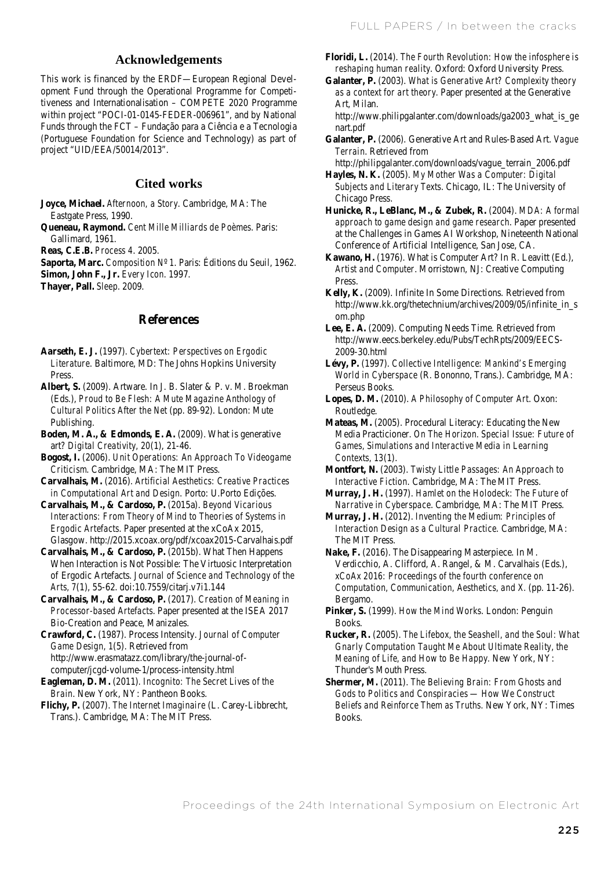## **Acknowledgements**

This work is financed by the ERDF—European Regional Development Fund through the Operational Programme for Competitiveness and Internationalisation – COMPETE 2020 Programme within project "POCI-01-0145-FEDER-006961", and by National Funds through the FCT – Fundação para a Ciência e a Tecnologia (Portuguese Foundation for Science and Technology) as part of project "UID/EEA/50014/2013".

#### **Cited works**

**Joyce, Michael.** *Afternoon, a Story*. Cambridge, MA: The Eastgate Press, 1990.

**Queneau, Raymond.** *Cent Mille Milliards de Poèmes*. Paris: Gallimard, 1961.

**Reas, C.E.B.** *Process 4*. 2005.

**Saporta, Marc.** *Composition Nº 1*. Paris: Éditions du Seuil, 1962. **Simon, John F., Jr.** *Every Icon*. 1997.

**Thayer, Pall.** *Sleep*. 2009.

### **References**

**Aarseth, E. J.** (1997). *Cybertext: Perspectives on Ergodic Literature*. Baltimore, MD: The Johns Hopkins University Press.

**Albert, S.** (2009). Artware. In J. B. Slater & P. v. M. Broekman (Eds.), *Proud to Be Flesh: A Mute Magazine Anthology of Cultural Politics After the Net* (pp. 89-92). London: Mute Publishing.

**Boden, M. A., & Edmonds, E. A.** (2009). What is generative art? *Digital Creativity, 20*(1), 21-46.

**Bogost, I.** (2006). *Unit Operations: An Approach To Videogame Criticism*. Cambridge, MA: The MIT Press.

**Carvalhais, M.** (2016). *Artificial Aesthetics: Creative Practices in Computational Art and Design*. Porto: U.Porto Edições.

**Carvalhais, M., & Cardoso, P.** (2015a). *Beyond Vicarious Interactions: From Theory of Mind to Theories of Systems in Ergodic Artefacts*. Paper presented at the xCoAx 2015, Glasgow. http://2015.xcoax.org/pdf/xcoax2015-Carvalhais.pdf

**Carvalhais, M., & Cardoso, P.** (2015b). What Then Happens When Interaction is Not Possible: The Virtuosic Interpretation of Ergodic Artefacts. *Journal of Science and Technology of the Arts, 7*(1), 55-62. doi:10.7559/citarj.v7i1.144

**Carvalhais, M., & Cardoso, P.** (2017). *Creation of Meaning in Processor-based Artefacts*. Paper presented at the ISEA 2017 Bio-Creation and Peace, Manizales.

**Crawford, C.** (1987). Process Intensity. *Journal of Computer Game Design, 1*(5). Retrieved from http://www.erasmatazz.com/library/the-journal-ofcomputer/jcgd-volume-1/process-intensity.html

**Eagleman, D. M.** (2011). *Incognito: The Secret Lives of the Brain*. New York, NY: Pantheon Books.

**Flichy, P.** (2007). *The Internet Imaginaire* (L. Carey-Libbrecht, Trans.). Cambridge, MA: The MIT Press.

**Floridi, L.** (2014). *The Fourth Revolution: How the infosphere is reshaping human reality*. Oxford: Oxford University Press.

**Galanter, P.** (2003). *What is Generative Art? Complexity theory as a context for art theory.* Paper presented at the Generative Art, Milan.

http://www.philipgalanter.com/downloads/ga2003\_what\_is\_ge nart.pdf

**Galanter, P.** (2006). Generative Art and Rules-Based Art. *Vague Terrain*. Retrieved from

http://philipgalanter.com/downloads/vague\_terrain\_2006.pdf **Hayles, N. K.** (2005). *My Mother Was a Computer: Digital* 

*Subjects and Literary Texts*. Chicago, IL: The University of Chicago Press.

**Hunicke, R., LeBlanc, M., & Zubek, R.** (2004). *MDA: A formal approach to game design and game research*. Paper presented at the Challenges in Games AI Workshop, Nineteenth National Conference of Artificial Intelligence, San Jose, CA.

**Kawano, H.** (1976). What is Computer Art? In R. Leavitt (Ed.), *Artist and Computer*. Morristown, NJ: Creative Computing Press.

**Kelly, K.** (2009). Infinite In Some Directions. Retrieved from http://www.kk.org/thetechnium/archives/2009/05/infinite\_in\_s om.php

**Lee, E. A.** (2009). Computing Needs Time. Retrieved from http://www.eecs.berkeley.edu/Pubs/TechRpts/2009/EECS-2009-30.html

**Lévy, P.** (1997). *Collective Intelligence: Mankind's Emerging World in Cyberspace* (R. Bononno, Trans.). Cambridge, MA: Perseus Books.

**Lopes, D. M.** (2010). *A Philosophy of Computer Art*. Oxon: Routledge.

**Mateas, M.** (2005). Procedural Literacy: Educating the New Media Practicioner. *On The Horizon. Special Issue: Future of Games, Simulations and Interactive Media in Learning Contexts, 13*(1).

**Montfort, N.** (2003). *Twisty Little Passages: An Approach to Interactive Fiction*. Cambridge, MA: The MIT Press.

**Murray, J. H.** (1997). *Hamlet on the Holodeck: The Future of Narrative in Cyberspace*. Cambridge, MA: The MIT Press.

**Murray, J. H.** (2012). *Inventing the Medium: Principles of Interaction Design as a Cultural Practice*. Cambridge, MA: The MIT Press.

**Nake, F.** (2016). The Disappearing Masterpiece. In M. Verdicchio, A. Clifford, A. Rangel, & M. Carvalhais (Eds.), *xCoAx 2016: Proceedings of the fourth conference on Computation, Communication, Aesthetics, and X.* (pp. 11-26). Bergamo.

**Pinker, S.** (1999). *How the Mind Works*. London: Penguin Books.

**Rucker, R.** (2005). *The Lifebox, the Seashell, and the Soul: What Gnarly Computation Taught Me About Ultimate Reality, the Meaning of Life, and How to Be Happy.* New York, NY: Thunder's Mouth Press.

**Shermer, M.** (2011). *The Believing Brain: From Ghosts and Gods to Politics and Conspiracies — How We Construct Beliefs and Reinforce Them as Truths.* New York, NY: Times Books.

Proceedings of the 24th International Symposium on Electronic Art